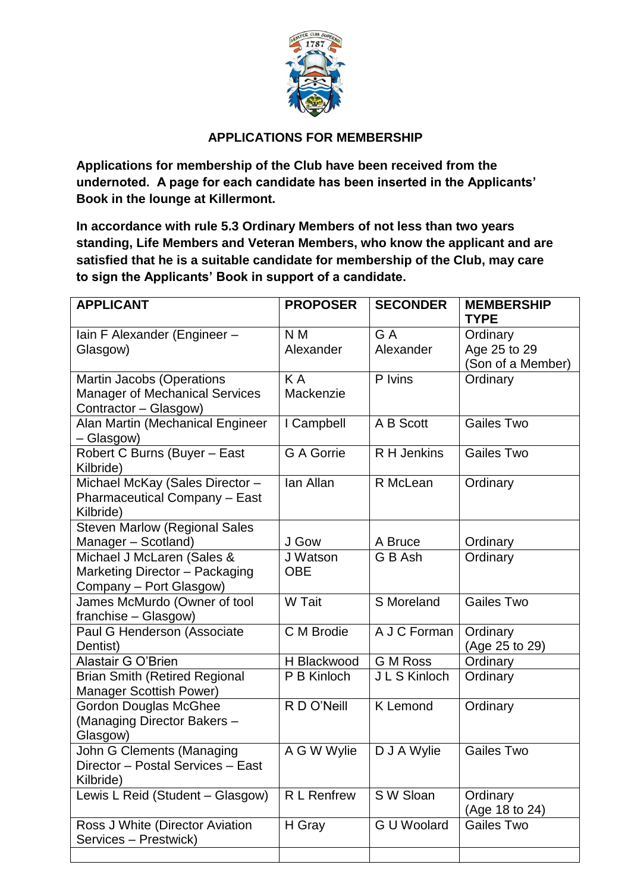

## **APPLICATIONS FOR MEMBERSHIP**

**Applications for membership of the Club have been received from the undernoted. A page for each candidate has been inserted in the Applicants' Book in the lounge at Killermont.**

**In accordance with rule 5.3 Ordinary Members of not less than two years standing, Life Members and Veteran Members, who know the applicant and are satisfied that he is a suitable candidate for membership of the Club, may care to sign the Applicants' Book in support of a candidate.**

| <b>PROPOSER</b>        | <b>SECONDER</b>    | <b>MEMBERSHIP</b><br><b>TYPE</b>              |
|------------------------|--------------------|-----------------------------------------------|
| N M<br>Alexander       | G A<br>Alexander   | Ordinary<br>Age 25 to 29<br>(Son of a Member) |
| KA<br>Mackenzie        | P Ivins            | Ordinary                                      |
| I Campbell             | A B Scott          | Gailes Two                                    |
| G A Gorrie             | R H Jenkins        | Gailes Two                                    |
| lan Allan              | R McLean           | Ordinary                                      |
| J Gow                  | A Bruce            | Ordinary                                      |
| J Watson<br><b>OBE</b> | G B Ash            | Ordinary                                      |
| W Tait                 | S Moreland         | <b>Gailes Two</b>                             |
| C M Brodie             | A J C Forman       | Ordinary<br>(Age 25 to 29)                    |
| H Blackwood            | <b>G M Ross</b>    | Ordinary                                      |
| P B Kinloch            | J L S Kinloch      | Ordinary                                      |
| R D O'Neill            | <b>K</b> Lemond    | Ordinary                                      |
| A G W Wylie            | D J A Wylie        | Gailes Two                                    |
| R L Renfrew            | S W Sloan          | Ordinary<br>(Age 18 to 24)                    |
| H Gray                 | <b>G U Woolard</b> | Gailes Two                                    |
|                        |                    |                                               |